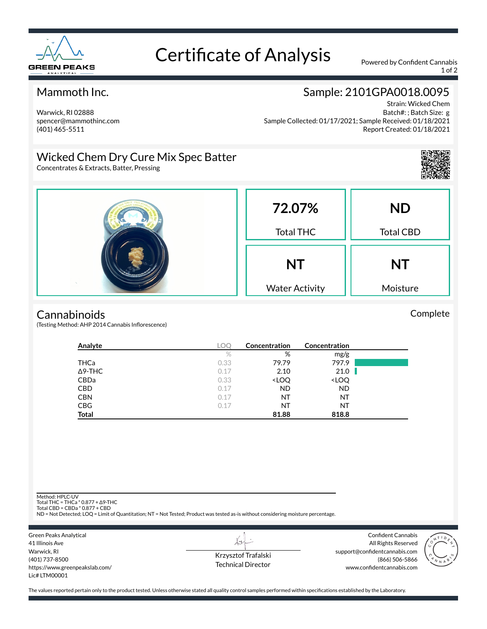

# Certificate of Analysis Powered by Confident Cannabis

1 of 2

### Mammoth Inc.

Warwick, RI 02888 spencer@mammothinc.com (401) 465-5511

## Sample: 2101GPA0018.0095

Strain: Wicked Chem Batch#: ; Batch Size: g Sample Collected: 01/17/2021; Sample Received: 01/18/2021 Report Created: 01/18/2021

### Wicked Chem Dry Cure Mix Spec Batter

Concentrates & Extracts, Batter, Pressing



Complete



#### **Cannabinoids**

(Testing Method: AHP 2014 Cannabis Inflorescence)

| Analyte        | LOC  | Concentration                                            | Concentration                |  |
|----------------|------|----------------------------------------------------------|------------------------------|--|
|                | $\%$ | %                                                        | mg/g                         |  |
| <b>THCa</b>    | 0.33 | 79.79                                                    | 797.9                        |  |
| $\Delta$ 9-THC | 0.17 | 2.10                                                     | 21.0                         |  |
| CBDa           | 0.33 | <loq< th=""><th><loq< th=""><th></th></loq<></th></loq<> | <loq< th=""><th></th></loq<> |  |
| <b>CBD</b>     | 0.17 | <b>ND</b>                                                | <b>ND</b>                    |  |
| <b>CBN</b>     | 0.17 | NT                                                       | ΝT                           |  |
| <b>CBG</b>     | 0.17 | NT                                                       | ΝT                           |  |
| Total          |      | 81.88                                                    | 818.8                        |  |

Method: HPLC-UV

Total THC = THCa \* 0.877 + ∆9-THC Total CBD = CBDa \* 0.877 + CBD

ND = Not Detected; LOQ = Limit of Quantitation; NT = Not Tested; Product was tested as-is without considering moisture percentage.



Krzysztof Trafalski Technical Director

L+

Confident Cannabis All Rights Reserved support@confidentcannabis.com (866) 506-5866 www.confidentcannabis.com



The values reported pertain only to the product tested. Unless otherwise stated all quality control samples performed within specifications established by the Laboratory.